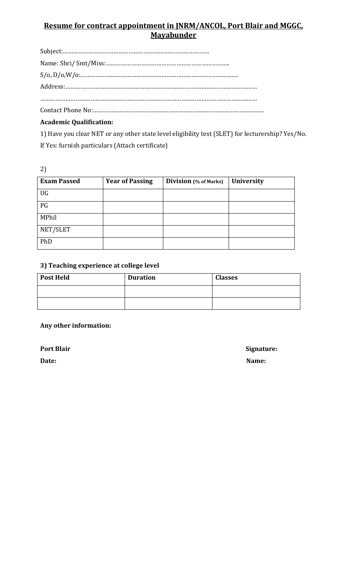# **Resume for contract appointment in JNRM/ANCOL, Port Blair and MGGC, Mayabunder**

Subject:…………………………………………………………………………… Name: Shri/ Smt/Miss:……………………………………………………………….. S/o, D/o,W/o:…………………………………………………………………………………. Address:…………………………………………………………………………………………………… …………………………………………………………………………………………………………………

Contact Phone No:…………………………………………………………………………………………

# **Academic Qualification:**

1) Have you clear NET or any other state level eligibility test (SLET) for lecturership? Yes/No. If Yes: furnish particulars (Attach certificate)

2)

| <b>Exam Passed</b> | <b>Year of Passing</b> | <b>Division</b> (% of Marks) | <b>University</b> |
|--------------------|------------------------|------------------------------|-------------------|
| UG                 |                        |                              |                   |
| PG                 |                        |                              |                   |
| MPhil              |                        |                              |                   |
| NET/SLET           |                        |                              |                   |
| PhD                |                        |                              |                   |

## **3) Teaching experience at college level**

| <b>Post Held</b> | <b>Duration</b> | <b>Classes</b> |
|------------------|-----------------|----------------|
|                  |                 |                |
|                  |                 |                |

## **Any other information:**

Port Blair Signature:

**Date:** Name: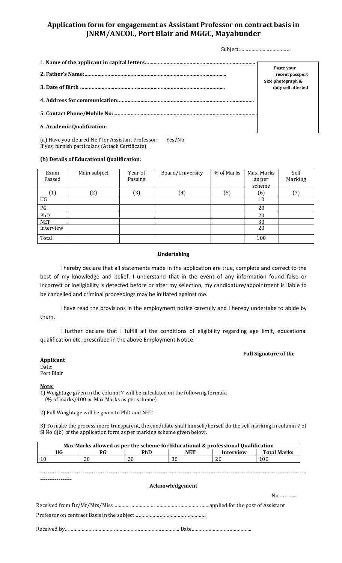## **Application form for engagement as Assistant Professor on contract basis in JNRM/ANCOL, Port Blair and MGGC, Mayabunder**

Subject:………………………………

|                            | Paste your<br>recent passport           |
|----------------------------|-----------------------------------------|
|                            | Size photograph &<br>duly self attested |
|                            |                                         |
|                            |                                         |
| 6. Academic Qualification: |                                         |

(a) Have you cleared NET for Assistant Professor: Yes/No If yes, furnish particulars (Attach Certificate)

#### **(b) Details of Educational Qualification**:

| Exam<br>Passed               | Main subject | Year of<br>Passing | Board/University | % of Marks | Max. Marks<br>as per<br>scheme | Self<br>Marking |
|------------------------------|--------------|--------------------|------------------|------------|--------------------------------|-----------------|
| $\left( \frac{1}{2} \right)$ | [2]          | (3)                | 41               | (5)        | (6)                            | (7)             |
| UG                           |              |                    |                  |            | 10                             |                 |
| PG                           |              |                    |                  |            | 20                             |                 |
| PhD                          |              |                    |                  |            | 20                             |                 |
| <b>NET</b>                   |              |                    |                  |            | 30                             |                 |
| Interview                    |              |                    |                  |            | 20                             |                 |
| Total                        |              |                    |                  |            | 100                            |                 |

#### **Undertaking**

I hereby declare that all statements made in the application are true, complete and correct to the best of my knowledge and belief. I understand that in the event of any information found false or incorrect or ineligibility is detected before or after my selection, my candidature/appointment is liable to be cancelled and criminal proceedings may be initiated against me.

I have read the provisions in the employment notice carefully and I hereby undertake to abide by them.

I further declare that I fulfill all the conditions of eligibility regarding age limit, educational qualification etc. prescribed in the above Employment Notice.

#### **Full Signature of the**

#### **Applicant**

Date: Port Blair

#### **Note:**

1) Weightage given in the column 7 will be calculated on the following formula (% of marks/100 x Max Marks as per scheme)

2) Full Weightage will be given to PhD and NET.

3) To make the process more transparent, the candidate shall himself/herself do the self marking in column 7 of Sl No 6(b) of the application form as per marking scheme given below.

| Max Marks allowed as per the scheme for Educational & professional Qualification |  |            |                        |           |                    |  |  |
|----------------------------------------------------------------------------------|--|------------|------------------------|-----------|--------------------|--|--|
| UG<br><b>PG</b>                                                                  |  | <b>PhD</b> | <b>NET</b>             | Interview | <b>Total Marks</b> |  |  |
| 10<br>20                                                                         |  | 20         | 30                     |           | 100                |  |  |
|                                                                                  |  |            |                        |           |                    |  |  |
|                                                                                  |  |            |                        |           |                    |  |  |
|                                                                                  |  |            |                        |           |                    |  |  |
|                                                                                  |  |            | <b>Acknowledgement</b> |           |                    |  |  |
|                                                                                  |  |            |                        |           | $No$               |  |  |
|                                                                                  |  |            |                        |           |                    |  |  |
|                                                                                  |  |            |                        |           |                    |  |  |
|                                                                                  |  |            |                        |           |                    |  |  |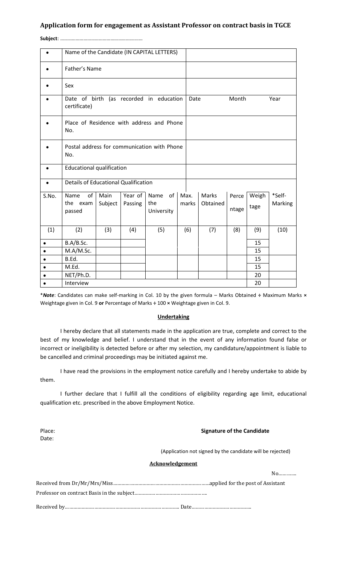### **Application form for engagement as Assistant Professor on contract basis in TGCE**

**Subject**: ……………………………………………….………

|           | Name of the Candidate (IN CAPITAL LETTERS)  |                                         |         |                                             |       |                       |       |       |         |        |
|-----------|---------------------------------------------|-----------------------------------------|---------|---------------------------------------------|-------|-----------------------|-------|-------|---------|--------|
|           | Father's Name                               |                                         |         |                                             |       |                       |       |       |         |        |
|           | Sex                                         |                                         |         |                                             |       |                       |       |       |         |        |
|           | certificate)                                |                                         |         | Date of birth (as recorded in education     |       | Month<br>Year<br>Date |       |       |         |        |
|           | No.                                         |                                         |         | Place of Residence with address and Phone   |       |                       |       |       |         |        |
|           | No.                                         |                                         |         | Postal address for communication with Phone |       |                       |       |       |         |        |
|           | <b>Educational qualification</b>            |                                         |         |                                             |       |                       |       |       |         |        |
|           | <b>Details of Educational Qualification</b> |                                         |         |                                             |       |                       |       |       |         |        |
| S.No.     | of<br>Name                                  | Main                                    | Year of | of<br>Name                                  |       | Max.                  | Marks | Perce | Weigh   | *Self- |
|           | the exam<br>passed                          | Subject<br>Passing<br>the<br>University |         |                                             | marks | Obtained              | ntage | tage  | Marking |        |
| (1)       | (2)                                         | (3)                                     | (4)     | (5)                                         |       | (6)                   | (7)   | (8)   | (9)     | (10)   |
|           |                                             |                                         |         |                                             |       |                       |       | 15    |         |        |
| $\bullet$ | B.A/B.Sc.<br>M.A/M.Sc.                      |                                         |         |                                             |       |                       |       | 15    |         |        |
| $\bullet$ | B.Ed.                                       |                                         |         |                                             |       |                       |       |       | 15      |        |
|           | M.Ed.                                       |                                         |         |                                             |       |                       |       |       | 15      |        |
|           | NET/Ph.D.                                   |                                         |         |                                             |       |                       |       |       | 20      |        |
|           | Interview                                   |                                         |         |                                             |       |                       |       |       | 20      |        |

\**Note*: Candidates can make self-marking in Col. 10 by the given formula – Marks Obtained **÷** Maximum Marks **×** Weightage given in Col. 9 **or** Percentage of Marks **÷** 100 **×** Weightage given in Col. 9.

#### **Undertaking**

I hereby declare that all statements made in the application are true, complete and correct to the best of my knowledge and belief. I understand that in the event of any information found false or incorrect or ineligibility is detected before or after my selection, my candidature/appointment is liable to be cancelled and criminal proceedings may be initiated against me.

I have read the provisions in the employment notice carefully and I hereby undertake to abide by them.

I further declare that I fulfill all the conditions of eligibility regarding age limit, educational qualification etc. prescribed in the above Employment Notice.

Date:

#### Place: **Place: Signature of the Candidate**

(Application not signed by the candidate will be rejected)

#### **Acknowledgement**

No…………. Received from Dr/Mr/Mrs/Miss……………………………………………………………applied for the post of Assistant Professor on contract Basis in the subject……………………………………………. Received by………………………………………………………………………. Date…………………………………….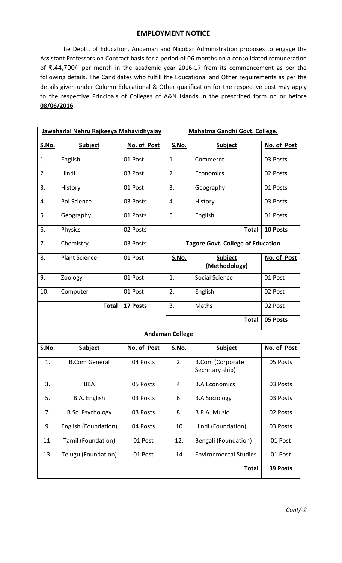## **EMPLOYMENT NOTICE**

The Deptt. of Education, Andaman and Nicobar Administration proposes to engage the Assistant Professors on Contract basis for a period of 06 months on a consolidated remuneration of ₹.44,700/- per month in the academic year 2016-17 from its commencement as per the following details. The Candidates who fulfill the Educational and Other requirements as per the details given under Column Educational & Other qualification for the respective post may apply to the respective Principals of Colleges of A&N Islands in the prescribed form on or before **08/06/2016**.

|              | Jawaharlal Nehru Rajkeeya Mahavidhyalay |             |                        | Mahatma Gandhi Govt. College.              |             |  |  |
|--------------|-----------------------------------------|-------------|------------------------|--------------------------------------------|-------------|--|--|
| <u>S.No.</u> | <b>Subject</b>                          | No. of Post | <u>S.No.</u>           | <b>Subject</b>                             | No. of Post |  |  |
| 1.           | English                                 | 01 Post     | 1.                     | Commerce                                   | 03 Posts    |  |  |
| 2.           | Hindi                                   | 03 Post     | 2.                     | Economics                                  | 02 Posts    |  |  |
| 3.           | History                                 | 01 Post     | 3.                     | Geography                                  | 01 Posts    |  |  |
| 4.           | Pol.Science                             | 03 Posts    | 4.                     | History                                    | 03 Posts    |  |  |
| 5.           | Geography                               | 01 Posts    | 5.                     | English                                    | 01 Posts    |  |  |
| 6.           | Physics                                 | 02 Posts    |                        | <b>Total</b>                               | 10 Posts    |  |  |
| 7.           | Chemistry                               | 03 Posts    |                        | <b>Tagore Govt. College of Education</b>   |             |  |  |
| 8.           | <b>Plant Science</b>                    | 01 Post     | <u>S.No.</u>           | <b>Subject</b><br>(Methodology)            | No. of Post |  |  |
| 9.           | Zoology                                 | 01 Post     | 1.                     | Social Science                             | 01 Post     |  |  |
| 10.          | Computer                                | 01 Post     | 2.                     | English                                    | 02 Post     |  |  |
|              | <b>Total</b>                            | 17 Posts    | 3.                     | Maths                                      | 02 Post     |  |  |
|              |                                         |             |                        | <b>Total</b>                               | 05 Posts    |  |  |
|              |                                         |             | <b>Andaman College</b> |                                            |             |  |  |
| <u>S.No.</u> | Subject                                 | No. of Post | <u>S.No.</u>           | <b>Subject</b>                             | No. of Post |  |  |
| 1.           | <b>B.Com General</b>                    | 04 Posts    | 2.                     | <b>B.Com (Corporate</b><br>Secretary ship) | 05 Posts    |  |  |
| 3.           | <b>BBA</b>                              | 05 Posts    | 4.                     | <b>B.A.Economics</b>                       | 03 Posts    |  |  |
| 5.           | B.A. English                            | 03 Posts    | 6.                     | <b>B.A Sociology</b>                       | 03 Posts    |  |  |
| 7.           | <b>B.Sc. Psychology</b>                 | 03 Posts    | 8.                     | B.P.A. Music                               | 02 Posts    |  |  |
| 9.           | English (Foundation)                    | 04 Posts    | 10                     | Hindi (Foundation)                         | 03 Posts    |  |  |
| 11.          | Tamil (Foundation)                      | 01 Post     | 12.                    | Bengali (Foundation)                       | 01 Post     |  |  |
| 13.          | Telugu (Foundation)                     | 01 Post     | 14                     | <b>Environmental Studies</b>               | 01 Post     |  |  |
|              |                                         |             |                        | <b>Total</b>                               | 39 Posts    |  |  |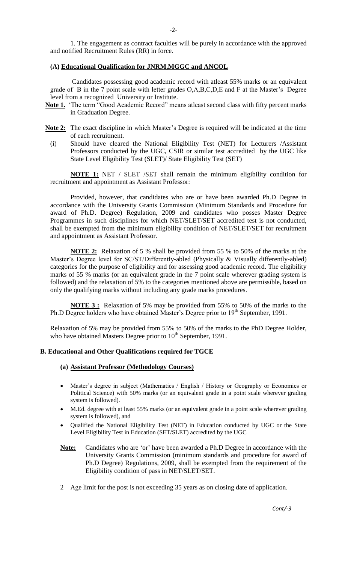1. The engagement as contract faculties will be purely in accordance with the approved and notified Recruitment Rules (RR) in force.

#### **(A) Educational Qualification for JNRM,MGGC and ANCOL**

Candidates possessing good academic record with atleast 55% marks or an equivalent grade of B in the 7 point scale with letter grades O,A,B,C,D,E and F at the Master's Degree level from a recognized University or Institute.

- **Note 1.** 'The term "Good Academic Record" means atleast second class with fifty percent marks in Graduation Degree.
- **Note 2:** The exact discipline in which Master's Degree is required will be indicated at the time of each recruitment.
	- (i) Should have cleared the National Eligibility Test (NET) for Lecturers /Assistant Professors conducted by the UGC, CSIR or similar test accredited by the UGC like State Level Eligibility Test (SLET)/ State Eligibility Test (SET)

**NOTE 1:** NET / SLET /SET shall remain the minimum eligibility condition for recruitment and appointment as Assistant Professor:

Provided, however, that candidates who are or have been awarded Ph.D Degree in accordance with the University Grants Commission (Minimum Standards and Procedure for award of Ph.D. Degree) Regulation, 2009 and candidates who posses Master Degree Programmes in such disciplines for which NET/SLET/SET accredited test is not conducted, shall be exempted from the minimum eligibility condition of NET/SLET/SET for recruitment and appointment as Assistant Professor.

**NOTE 2:** Relaxation of 5 % shall be provided from 55 % to 50% of the marks at the Master's Degree level for SC/ST/Differently-abled (Physically & Visually differently-abled) categories for the purpose of eligibility and for assessing good academic record. The eligibility marks of 55 % marks (or an equivalent grade in the 7 point scale wherever grading system is followed) and the relaxation of 5% to the categories mentioned above are permissible, based on only the qualifying marks without including any grade marks procedures.

**NOTE 3 :** Relaxation of 5% may be provided from 55% to 50% of the marks to the Ph.D Degree holders who have obtained Master's Degree prior to  $19<sup>th</sup>$  September, 1991.

Relaxation of 5% may be provided from 55% to 50% of the marks to the PhD Degree Holder, who have obtained Masters Degree prior to  $10^{th}$  September, 1991.

### **B. Educational and Other Qualifications required for TGCE**

#### **(a) Assistant Professor (Methodology Courses)**

- Master's degree in subject (Mathematics / English / History or Geography or Economics or Political Science) with 50% marks (or an equivalent grade in a point scale wherever grading system is followed).
- M.Ed. degree with at least 55% marks (or an equivalent grade in a point scale wherever grading system is followed), and
- Qualified the National Eligibility Test (NET) in Education conducted by UGC or the State Level Eligibility Test in Education (SET/SLET) accredited by the UGC
- **Note:** Candidates who are 'or' have been awarded a Ph.D Degree in accordance with the University Grants Commission (minimum standards and procedure for award of Ph.D Degree) Regulations, 2009, shall be exempted from the requirement of the Eligibility condition of pass in NET/SLET/SET.
- 2 Age limit for the post is not exceeding 35 years as on closing date of application.